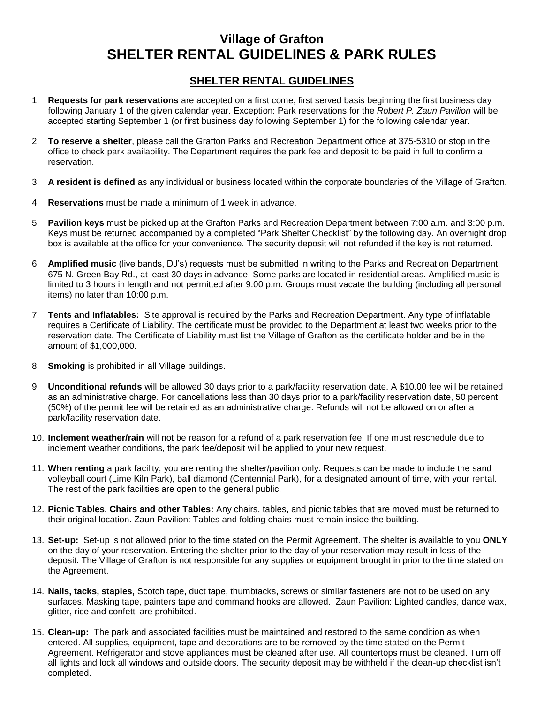## **Village of Grafton SHELTER RENTAL GUIDELINES & PARK RULES**

## **SHELTER RENTAL GUIDELINES**

- 1. **Requests for park reservations** are accepted on a first come, first served basis beginning the first business day following January 1 of the given calendar year. Exception: Park reservations for the *Robert P. Zaun Pavilion* will be accepted starting September 1 (or first business day following September 1) for the following calendar year.
- 2. **To reserve a shelter**, please call the Grafton Parks and Recreation Department office at 375-5310 or stop in the office to check park availability. The Department requires the park fee and deposit to be paid in full to confirm a reservation.
- 3. **A resident is defined** as any individual or business located within the corporate boundaries of the Village of Grafton.
- 4. **Reservations** must be made a minimum of 1 week in advance.
- 5. **Pavilion keys** must be picked up at the Grafton Parks and Recreation Department between 7:00 a.m. and 3:00 p.m. Keys must be returned accompanied by a completed "Park Shelter Checklist" by the following day. An overnight drop box is available at the office for your convenience. The security deposit will not refunded if the key is not returned.
- 6. **Amplified music** (live bands, DJ's) requests must be submitted in writing to the Parks and Recreation Department, 675 N. Green Bay Rd., at least 30 days in advance. Some parks are located in residential areas. Amplified music is limited to 3 hours in length and not permitted after 9:00 p.m. Groups must vacate the building (including all personal items) no later than 10:00 p.m.
- 7. **Tents and Inflatables:** Site approval is required by the Parks and Recreation Department. Any type of inflatable requires a Certificate of Liability. The certificate must be provided to the Department at least two weeks prior to the reservation date. The Certificate of Liability must list the Village of Grafton as the certificate holder and be in the amount of \$1,000,000.
- 8. **Smoking** is prohibited in all Village buildings.
- 9. **Unconditional refunds** will be allowed 30 days prior to a park/facility reservation date. A \$10.00 fee will be retained as an administrative charge. For cancellations less than 30 days prior to a park/facility reservation date, 50 percent (50%) of the permit fee will be retained as an administrative charge. Refunds will not be allowed on or after a park/facility reservation date.
- 10. **Inclement weather/rain** will not be reason for a refund of a park reservation fee. If one must reschedule due to inclement weather conditions, the park fee/deposit will be applied to your new request.
- 11. **When renting** a park facility, you are renting the shelter/pavilion only. Requests can be made to include the sand volleyball court (Lime Kiln Park), ball diamond (Centennial Park), for a designated amount of time, with your rental. The rest of the park facilities are open to the general public.
- 12. **Picnic Tables, Chairs and other Tables:** Any chairs, tables, and picnic tables that are moved must be returned to their original location. Zaun Pavilion: Tables and folding chairs must remain inside the building.
- 13. **Set-up:** Set-up is not allowed prior to the time stated on the Permit Agreement. The shelter is available to you **ONLY** on the day of your reservation. Entering the shelter prior to the day of your reservation may result in loss of the deposit. The Village of Grafton is not responsible for any supplies or equipment brought in prior to the time stated on the Agreement.
- 14. **Nails, tacks, staples,** Scotch tape, duct tape, thumbtacks, screws or similar fasteners are not to be used on any surfaces. Masking tape, painters tape and command hooks are allowed. Zaun Pavilion: Lighted candles, dance wax, glitter, rice and confetti are prohibited.
- 15. **Clean-up:** The park and associated facilities must be maintained and restored to the same condition as when entered. All supplies, equipment, tape and decorations are to be removed by the time stated on the Permit Agreement. Refrigerator and stove appliances must be cleaned after use. All countertops must be cleaned. Turn off all lights and lock all windows and outside doors. The security deposit may be withheld if the clean-up checklist isn't completed.